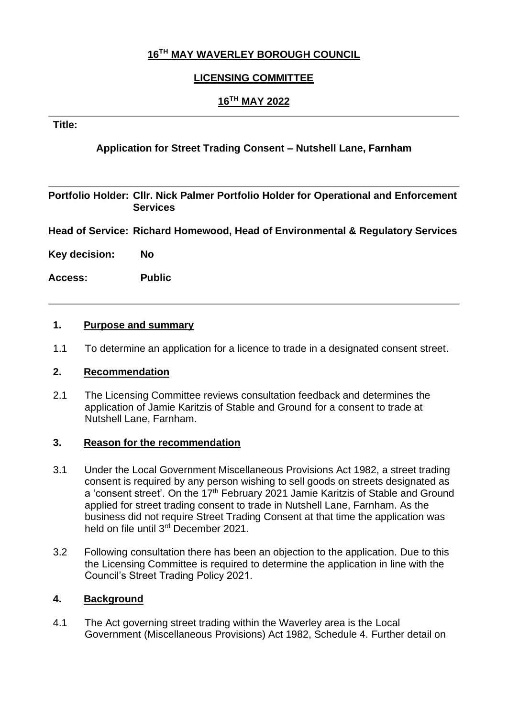## **16TH MAY WAVERLEY BOROUGH COUNCIL**

## **LICENSING COMMITTEE**

## **16TH MAY 2022**

### **Title:**

## **Application for Street Trading Consent – Nutshell Lane, Farnham**

**Portfolio Holder: Cllr. Nick Palmer Portfolio Holder for Operational and Enforcement Services**

**Head of Service: Richard Homewood, Head of Environmental & Regulatory Services**

**Key decision: No**

**Access: Public** 

#### **1. Purpose and summary**

1.1 To determine an application for a licence to trade in a designated consent street.

#### **2. Recommendation**

2.1 The Licensing Committee reviews consultation feedback and determines the application of Jamie Karitzis of Stable and Ground for a consent to trade at Nutshell Lane, Farnham.

#### **3. Reason for the recommendation**

- 3.1 Under the Local Government Miscellaneous Provisions Act 1982, a street trading consent is required by any person wishing to sell goods on streets designated as a 'consent street'. On the 17<sup>th</sup> February 2021 Jamie Karitzis of Stable and Ground applied for street trading consent to trade in Nutshell Lane, Farnham. As the business did not require Street Trading Consent at that time the application was held on file until 3<sup>rd</sup> December 2021.
- 3.2 Following consultation there has been an objection to the application. Due to this the Licensing Committee is required to determine the application in line with the Council's Street Trading Policy 2021.

#### **4. Background**

4.1 The Act governing street trading within the Waverley area is the Local Government (Miscellaneous Provisions) Act 1982, Schedule 4. Further detail on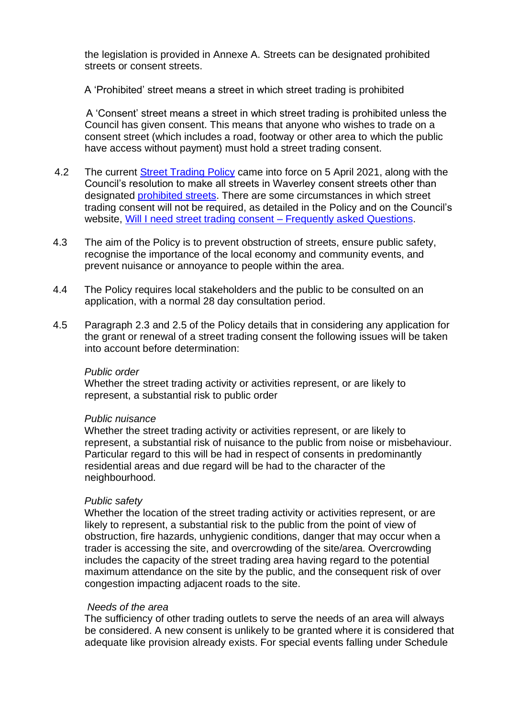the legislation is provided in Annexe A. Streets can be designated prohibited streets or consent streets.

A 'Prohibited' street means a street in which street trading is prohibited

 A 'Consent' street means a street in which street trading is prohibited unless the Council has given consent. This means that anyone who wishes to trade on a consent street (which includes a road, footway or other area to which the public have access without payment) must hold a street trading consent.

- 4.2 The current **Street Trading Policy** came into force on 5 April 2021, along with the Council's resolution to make all streets in Waverley consent streets other than designated [prohibited streets.](https://www.waverley.gov.uk/Services/Business-and-licensing/Licences-and-registrations/Street-trading/Street-trading-prohibited-locations) There are some circumstances in which street trading consent will not be required, as detailed in the Policy and on the Council's website, [Will I need street trading consent –](https://www.waverley.gov.uk/Services/Business-and-licensing/Licences-and-registrations/Street-trading/Will-I-need-street-trading-consent-Frequently-Asked-Questions) Frequently asked Questions.
- 4.3 The aim of the Policy is to prevent obstruction of streets, ensure public safety, recognise the importance of the local economy and community events, and prevent nuisance or annoyance to people within the area.
- 4.4 The Policy requires local stakeholders and the public to be consulted on an application, with a normal 28 day consultation period.
- 4.5 Paragraph 2.3 and 2.5 of the Policy details that in considering any application for the grant or renewal of a street trading consent the following issues will be taken into account before determination:

#### *Public order*

 Whether the street trading activity or activities represent, or are likely to represent, a substantial risk to public order

#### *Public nuisance*

 Whether the street trading activity or activities represent, or are likely to represent, a substantial risk of nuisance to the public from noise or misbehaviour. Particular regard to this will be had in respect of consents in predominantly residential areas and due regard will be had to the character of the neighbourhood.

#### *Public safety*

 Whether the location of the street trading activity or activities represent, or are likely to represent, a substantial risk to the public from the point of view of obstruction, fire hazards, unhygienic conditions, danger that may occur when a trader is accessing the site, and overcrowding of the site/area. Overcrowding includes the capacity of the street trading area having regard to the potential maximum attendance on the site by the public, and the consequent risk of over congestion impacting adjacent roads to the site.

#### *Needs of the area*

 The sufficiency of other trading outlets to serve the needs of an area will always be considered. A new consent is unlikely to be granted where it is considered that adequate like provision already exists. For special events falling under Schedule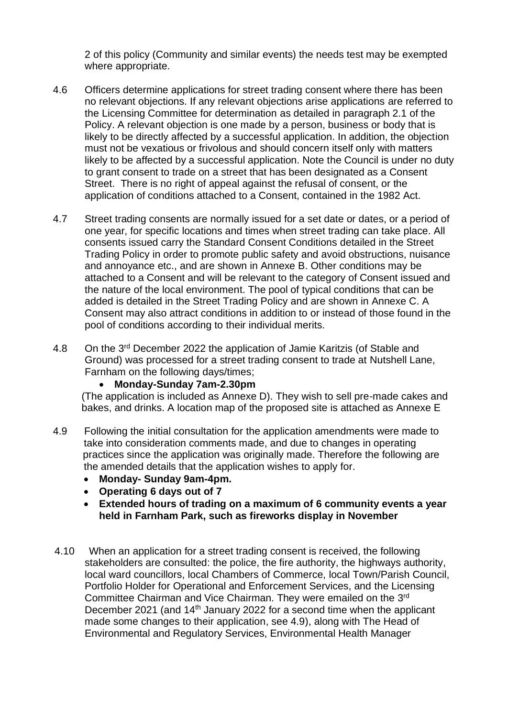2 of this policy (Community and similar events) the needs test may be exempted where appropriate.

- 4.6 Officers determine applications for street trading consent where there has been no relevant objections. If any relevant objections arise applications are referred to the Licensing Committee for determination as detailed in paragraph 2.1 of the Policy. A relevant objection is one made by a person, business or body that is likely to be directly affected by a successful application. In addition, the objection must not be vexatious or frivolous and should concern itself only with matters likely to be affected by a successful application. Note the Council is under no duty to grant consent to trade on a street that has been designated as a Consent Street. There is no right of appeal against the refusal of consent, or the application of conditions attached to a Consent, contained in the 1982 Act.
- 4.7 Street trading consents are normally issued for a set date or dates, or a period of one year, for specific locations and times when street trading can take place. All consents issued carry the Standard Consent Conditions detailed in the Street Trading Policy in order to promote public safety and avoid obstructions, nuisance and annoyance etc., and are shown in Annexe B. Other conditions may be attached to a Consent and will be relevant to the category of Consent issued and the nature of the local environment. The pool of typical conditions that can be added is detailed in the Street Trading Policy and are shown in Annexe C. A Consent may also attract conditions in addition to or instead of those found in the pool of conditions according to their individual merits.
- 4.8 On the 3<sup>rd</sup> December 2022 the application of Jamie Karitzis (of Stable and Ground) was processed for a street trading consent to trade at Nutshell Lane, Farnham on the following days/times;

#### • **Monday-Sunday 7am-2.30pm**

 (The application is included as Annexe D). They wish to sell pre-made cakes and bakes, and drinks. A location map of the proposed site is attached as Annexe E

- 4.9 Following the initial consultation for the application amendments were made to take into consideration comments made, and due to changes in operating practices since the application was originally made. Therefore the following are the amended details that the application wishes to apply for.
	- **Monday- Sunday 9am-4pm.**
	- **Operating 6 days out of 7**
	- **Extended hours of trading on a maximum of 6 community events a year held in Farnham Park, such as fireworks display in November**
- 4.10 When an application for a street trading consent is received, the following stakeholders are consulted: the police, the fire authority, the highways authority, local ward councillors, local Chambers of Commerce, local Town/Parish Council, Portfolio Holder for Operational and Enforcement Services, and the Licensing Committee Chairman and Vice Chairman. They were emailed on the 3rd December 2021 (and 14<sup>th</sup> January 2022 for a second time when the applicant made some changes to their application, see 4.9), along with The Head of Environmental and Regulatory Services, Environmental Health Manager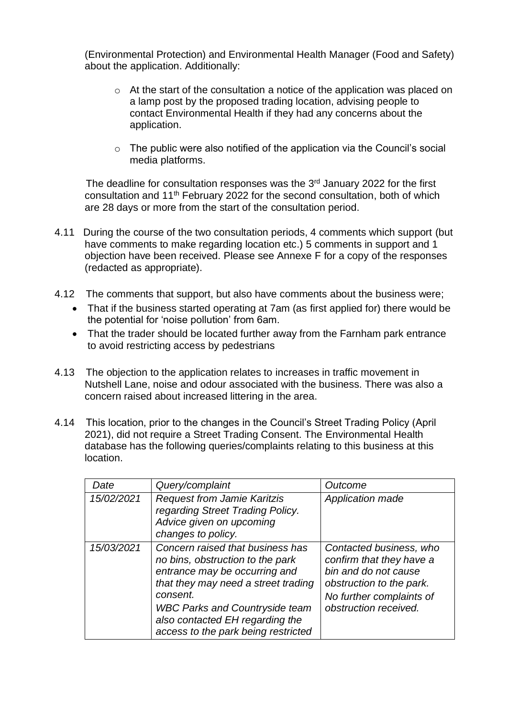(Environmental Protection) and Environmental Health Manager (Food and Safety) about the application. Additionally:

- o At the start of the consultation a notice of the application was placed on a lamp post by the proposed trading location, advising people to contact Environmental Health if they had any concerns about the application.
- $\circ$  The public were also notified of the application via the Council's social media platforms.

The deadline for consultation responses was the  $3<sup>rd</sup>$  January 2022 for the first consultation and 11<sup>th</sup> February 2022 for the second consultation, both of which are 28 days or more from the start of the consultation period.

- 4.11 During the course of the two consultation periods, 4 comments which support (but have comments to make regarding location etc.) 5 comments in support and 1 objection have been received. Please see Annexe F for a copy of the responses (redacted as appropriate).
- 4.12 The comments that support, but also have comments about the business were;
	- That if the business started operating at 7am (as first applied for) there would be the potential for 'noise pollution' from 6am.
	- That the trader should be located further away from the Farnham park entrance to avoid restricting access by pedestrians
- 4.13 The objection to the application relates to increases in traffic movement in Nutshell Lane, noise and odour associated with the business. There was also a concern raised about increased littering in the area.
- 4.14 This location, prior to the changes in the Council's Street Trading Policy (April 2021), did not require a Street Trading Consent. The Environmental Health database has the following queries/complaints relating to this business at this location.

| Date       | Query/complaint                                                                                                                                                                                                                                                             | Outcome                                                                                                                                                      |
|------------|-----------------------------------------------------------------------------------------------------------------------------------------------------------------------------------------------------------------------------------------------------------------------------|--------------------------------------------------------------------------------------------------------------------------------------------------------------|
| 15/02/2021 | <b>Request from Jamie Karitzis</b><br>regarding Street Trading Policy.<br>Advice given on upcoming<br>changes to policy.                                                                                                                                                    | <b>Application made</b>                                                                                                                                      |
| 15/03/2021 | Concern raised that business has<br>no bins, obstruction to the park<br>entrance may be occurring and<br>that they may need a street trading<br>consent.<br><b>WBC Parks and Countryside team</b><br>also contacted EH regarding the<br>access to the park being restricted | Contacted business, who<br>confirm that they have a<br>bin and do not cause<br>obstruction to the park.<br>No further complaints of<br>obstruction received. |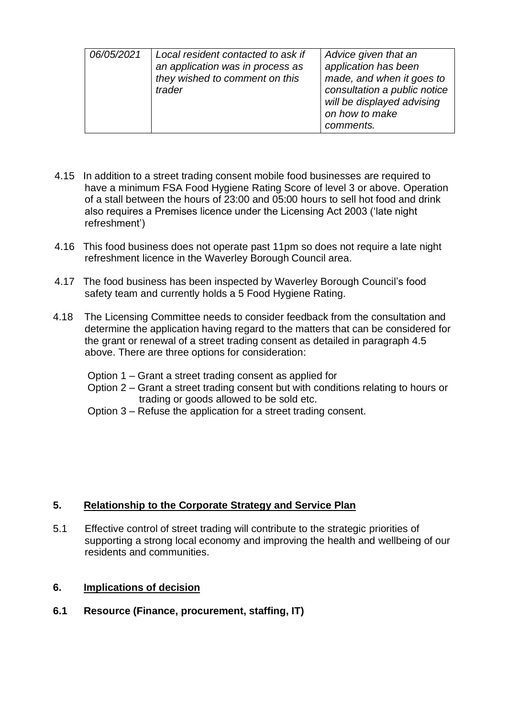| 06/05/2021 | Local resident contacted to ask if<br>an application was in process as<br>they wished to comment on this<br>trader | Advice given that an<br>application has been<br>made, and when it goes to<br>consultation a public notice<br>will be displayed advising<br>on how to make<br>comments. |
|------------|--------------------------------------------------------------------------------------------------------------------|------------------------------------------------------------------------------------------------------------------------------------------------------------------------|
|------------|--------------------------------------------------------------------------------------------------------------------|------------------------------------------------------------------------------------------------------------------------------------------------------------------------|

- 4.15 In addition to a street trading consent mobile food businesses are required to have a minimum FSA Food Hygiene Rating Score of level 3 or above. Operation of a stall between the hours of 23:00 and 05:00 hours to sell hot food and drink also requires a Premises licence under the Licensing Act 2003 ('late night refreshment')
- 4.16 This food business does not operate past 11pm so does not require a late night refreshment licence in the Waverley Borough Council area.
- 4.17 The food business has been inspected by Waverley Borough Council's food safety team and currently holds a 5 Food Hygiene Rating.
- 4.18 The Licensing Committee needs to consider feedback from the consultation and determine the application having regard to the matters that can be considered for the grant or renewal of a street trading consent as detailed in paragraph 4.5 above. There are three options for consideration:
	- Option 1 Grant a street trading consent as applied for
	- Option 2 Grant a street trading consent but with conditions relating to hours or trading or goods allowed to be sold etc.
	- Option 3 Refuse the application for a street trading consent.

## **5. Relationship to the Corporate Strategy and Service Plan**

5.1 Effective control of street trading will contribute to the strategic priorities of supporting a strong local economy and improving the health and wellbeing of our residents and communities.

#### **6. Implications of decision**

**6.1 Resource (Finance, procurement, staffing, IT)**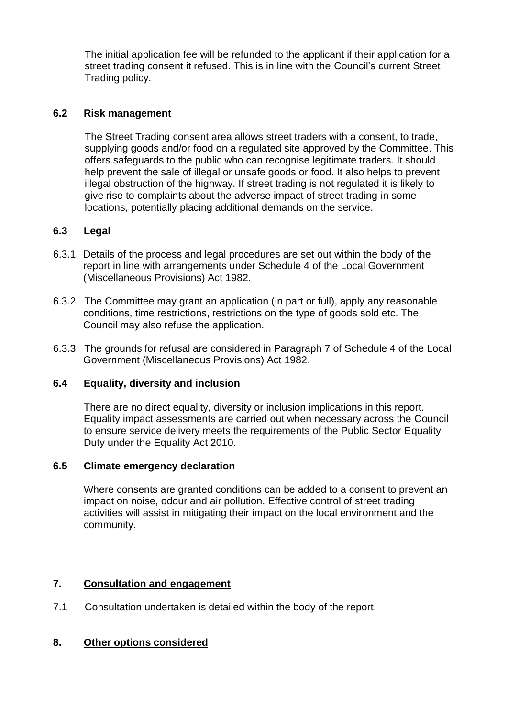The initial application fee will be refunded to the applicant if their application for a street trading consent it refused. This is in line with the Council's current Street Trading policy.

## **6.2 Risk management**

The Street Trading consent area allows street traders with a consent, to trade, supplying goods and/or food on a regulated site approved by the Committee. This offers safeguards to the public who can recognise legitimate traders. It should help prevent the sale of illegal or unsafe goods or food. It also helps to prevent illegal obstruction of the highway. If street trading is not regulated it is likely to give rise to complaints about the adverse impact of street trading in some locations, potentially placing additional demands on the service.

## **6.3 Legal**

- 6.3.1 Details of the process and legal procedures are set out within the body of the report in line with arrangements under Schedule 4 of the Local Government (Miscellaneous Provisions) Act 1982.
- 6.3.2 The Committee may grant an application (in part or full), apply any reasonable conditions, time restrictions, restrictions on the type of goods sold etc. The Council may also refuse the application.
- 6.3.3 The grounds for refusal are considered in Paragraph 7 of Schedule 4 of the Local Government (Miscellaneous Provisions) Act 1982.

#### **6.4 Equality, diversity and inclusion**

There are no direct equality, diversity or inclusion implications in this report. Equality impact assessments are carried out when necessary across the Council to ensure service delivery meets the requirements of the Public Sector Equality Duty under the Equality Act 2010.

#### **6.5 Climate emergency declaration**

Where consents are granted conditions can be added to a consent to prevent an impact on noise, odour and air pollution. Effective control of street trading activities will assist in mitigating their impact on the local environment and the community.

## **7. Consultation and engagement**

7.1 Consultation undertaken is detailed within the body of the report.

#### **8. Other options considered**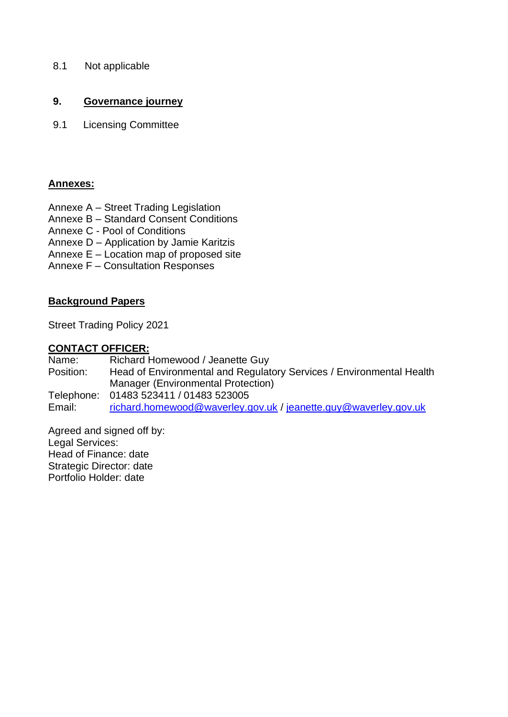8.1 Not applicable

## **9. Governance journey**

9.1 Licensing Committee

## **Annexes:**

- Annexe A Street Trading Legislation
- Annexe B Standard Consent Conditions
- Annexe C Pool of Conditions
- Annexe D Application by Jamie Karitzis
- Annexe E Location map of proposed site
- Annexe F Consultation Responses

## **Background Papers**

Street Trading Policy 2021

## **CONTACT OFFICER:**

Name: Richard Homewood / Jeanette Guy Position: Head of Environmental and Regulatory Services / Environmental Health Manager (Environmental Protection) Telephone: 01483 523411 / 01483 523005 Email: [richard.homewood@waverley.gov.uk](mailto:richard.homewood@waverley.gov.uk) / [jeanette.guy@waverley.gov.uk](mailto:jeanette.guy@waverley.gov.uk)

Agreed and signed off by: Legal Services: Head of Finance: date Strategic Director: date Portfolio Holder: date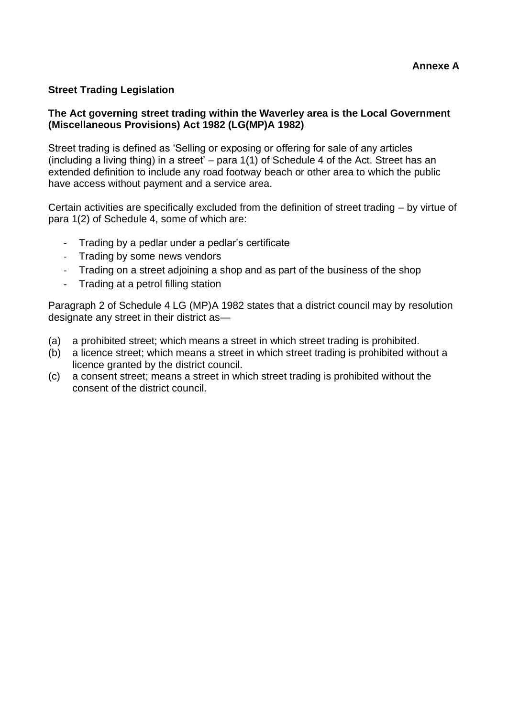## **Street Trading Legislation**

#### **The Act governing street trading within the Waverley area is the Local Government (Miscellaneous Provisions) Act 1982 (LG(MP)A 1982)**

Street trading is defined as 'Selling or exposing or offering for sale of any articles (including a living thing) in a street' – para 1(1) of Schedule 4 of the Act. Street has an extended definition to include any road footway beach or other area to which the public have access without payment and a service area.

Certain activities are specifically excluded from the definition of street trading – by virtue of para 1(2) of Schedule 4, some of which are:

- Trading by a pedlar under a pedlar's certificate
- Trading by some news vendors
- Trading on a street adjoining a shop and as part of the business of the shop
- Trading at a petrol filling station

Paragraph 2 of Schedule 4 LG (MP)A 1982 states that a district council may by resolution designate any street in their district as—

- (a) a prohibited street; which means a street in which street trading is prohibited.
- (b) a licence street; which means a street in which street trading is prohibited without a licence granted by the district council.
- (c) a consent street; means a street in which street trading is prohibited without the consent of the district council.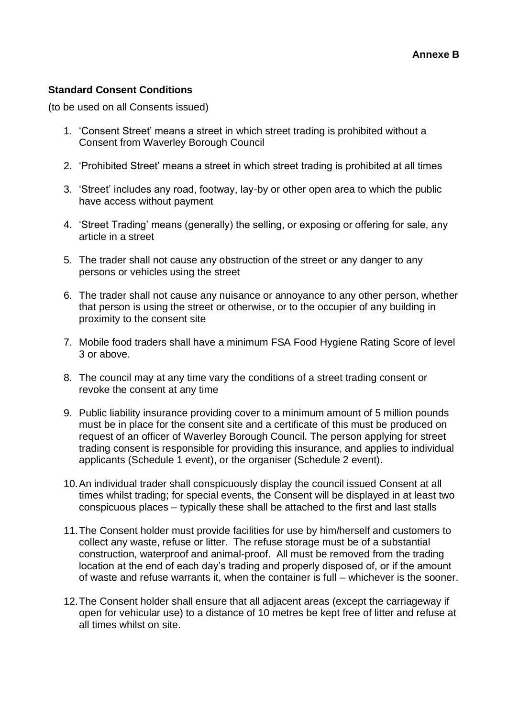## **Standard Consent Conditions**

(to be used on all Consents issued)

- 1. 'Consent Street' means a street in which street trading is prohibited without a Consent from Waverley Borough Council
- 2. 'Prohibited Street' means a street in which street trading is prohibited at all times
- 3. 'Street' includes any road, footway, lay-by or other open area to which the public have access without payment
- 4. 'Street Trading' means (generally) the selling, or exposing or offering for sale, any article in a street
- 5. The trader shall not cause any obstruction of the street or any danger to any persons or vehicles using the street
- 6. The trader shall not cause any nuisance or annoyance to any other person, whether that person is using the street or otherwise, or to the occupier of any building in proximity to the consent site
- 7. Mobile food traders shall have a minimum FSA Food Hygiene Rating Score of level 3 or above.
- 8. The council may at any time vary the conditions of a street trading consent or revoke the consent at any time
- 9. Public liability insurance providing cover to a minimum amount of 5 million pounds must be in place for the consent site and a certificate of this must be produced on request of an officer of Waverley Borough Council. The person applying for street trading consent is responsible for providing this insurance, and applies to individual applicants (Schedule 1 event), or the organiser (Schedule 2 event).
- 10.An individual trader shall conspicuously display the council issued Consent at all times whilst trading; for special events, the Consent will be displayed in at least two conspicuous places – typically these shall be attached to the first and last stalls
- 11.The Consent holder must provide facilities for use by him/herself and customers to collect any waste, refuse or litter. The refuse storage must be of a substantial construction, waterproof and animal-proof. All must be removed from the trading location at the end of each day's trading and properly disposed of, or if the amount of waste and refuse warrants it, when the container is full – whichever is the sooner.
- 12.The Consent holder shall ensure that all adjacent areas (except the carriageway if open for vehicular use) to a distance of 10 metres be kept free of litter and refuse at all times whilst on site.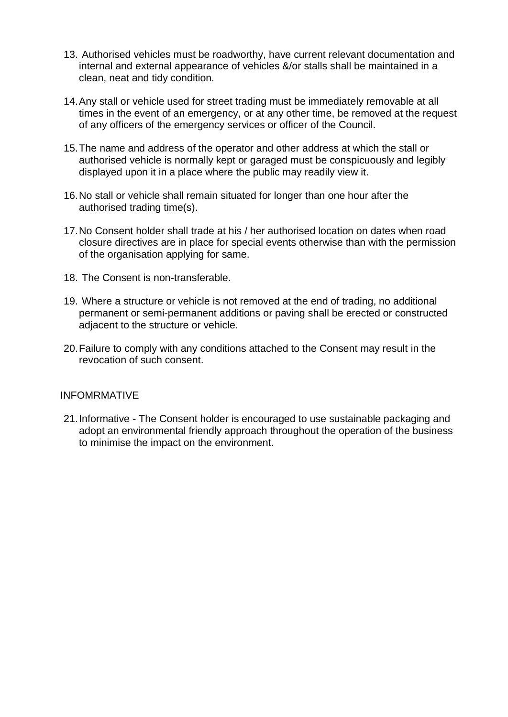- 13. Authorised vehicles must be roadworthy, have current relevant documentation and internal and external appearance of vehicles &/or stalls shall be maintained in a clean, neat and tidy condition.
- 14.Any stall or vehicle used for street trading must be immediately removable at all times in the event of an emergency, or at any other time, be removed at the request of any officers of the emergency services or officer of the Council.
- 15.The name and address of the operator and other address at which the stall or authorised vehicle is normally kept or garaged must be conspicuously and legibly displayed upon it in a place where the public may readily view it.
- 16.No stall or vehicle shall remain situated for longer than one hour after the authorised trading time(s).
- 17.No Consent holder shall trade at his / her authorised location on dates when road closure directives are in place for special events otherwise than with the permission of the organisation applying for same.
- 18. The Consent is non-transferable.
- 19. Where a structure or vehicle is not removed at the end of trading, no additional permanent or semi-permanent additions or paving shall be erected or constructed adjacent to the structure or vehicle.
- 20.Failure to comply with any conditions attached to the Consent may result in the revocation of such consent.

#### INFOMRMATIVE

21.Informative - The Consent holder is encouraged to use sustainable packaging and adopt an environmental friendly approach throughout the operation of the business to minimise the impact on the environment.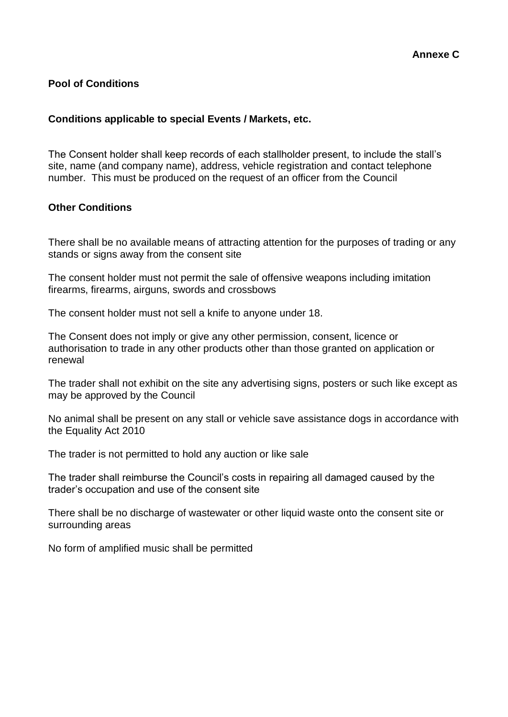## **Pool of Conditions**

#### **Conditions applicable to special Events / Markets, etc.**

The Consent holder shall keep records of each stallholder present, to include the stall's site, name (and company name), address, vehicle registration and contact telephone number. This must be produced on the request of an officer from the Council

#### **Other Conditions**

There shall be no available means of attracting attention for the purposes of trading or any stands or signs away from the consent site

The consent holder must not permit the sale of offensive weapons including imitation firearms, firearms, airguns, swords and crossbows

The consent holder must not sell a knife to anyone under 18.

The Consent does not imply or give any other permission, consent, licence or authorisation to trade in any other products other than those granted on application or renewal

The trader shall not exhibit on the site any advertising signs, posters or such like except as may be approved by the Council

No animal shall be present on any stall or vehicle save assistance dogs in accordance with the Equality Act 2010

The trader is not permitted to hold any auction or like sale

The trader shall reimburse the Council's costs in repairing all damaged caused by the trader's occupation and use of the consent site

There shall be no discharge of wastewater or other liquid waste onto the consent site or surrounding areas

No form of amplified music shall be permitted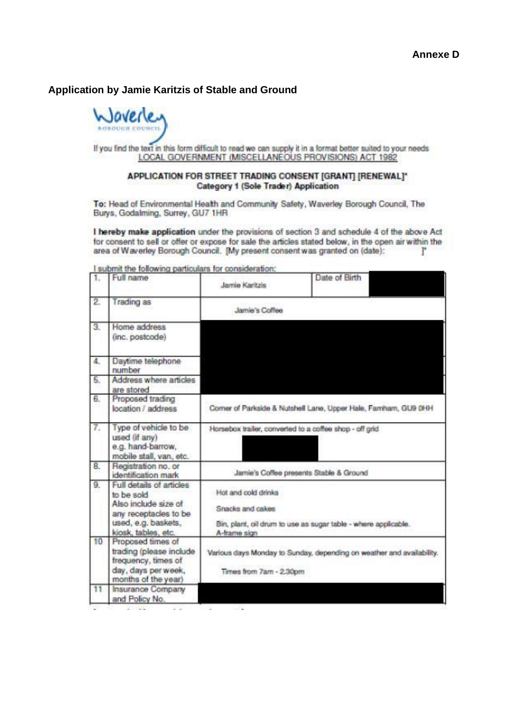### **Application by Jamie Karitzis of Stable and Ground**



If you find the text in this form difficult to read we can supply it in a format better suited to your needs LOCAL GOVERNMENT (MISCELLANEOUS PROVISIONS) ACT 1982

#### APPLICATION FOR STREET TRADING CONSENT [GRANT] [RENEWAL]\* **Category 1 (Sole Trader) Application**

To: Head of Environmental Health and Community Safety, Waverley Borough Council, The Burys, Godalming, Surrey, GU7 1HR

I hereby make application under the provisions of section 3 and schedule 4 of the above Act for consent to sell or offer or expose for sale the articles stated below, in the open air within the area of Waverley Borough Council. [My present consent was granted on (date): r

| 1.               | Full name                                                                                                                             | Jamie Karitzis                                                                                                            | Date of Birth |
|------------------|---------------------------------------------------------------------------------------------------------------------------------------|---------------------------------------------------------------------------------------------------------------------------|---------------|
| 2                | Trading as                                                                                                                            | Jamie's Coffee                                                                                                            |               |
| 3.               | Home address<br>(inc. postcode)                                                                                                       |                                                                                                                           |               |
| 4.               | Daytime telephone<br>number                                                                                                           |                                                                                                                           |               |
| 5.               | Address where articles<br>are stored                                                                                                  |                                                                                                                           |               |
| 6.               | Proposed trading<br>location / address                                                                                                | Corner of Parkside & Nutshell Lane, Upper Hale, Famham, GU9 0HH                                                           |               |
| 7.               | Type of vehicle to be<br>used (if any)<br>e.g. hand-barrow,<br>mobile stall, van, etc.                                                | Horsebox trailer, converted to a coffee shop - off grid                                                                   |               |
| 8.               | Registration no. or<br>identification mark                                                                                            | Jamie's Coffee presents Stable & Ground                                                                                   |               |
| 9.               | Full details of articles<br>to be sold<br>Also include size of<br>any receptacles to be<br>used, e.g. baskets,<br>kiosk, tables, etc. | Hot and cold drinks<br>Snacks and cakes<br>Bin, plant, oil drum to use as sugar table - where applicable.<br>A-frame sign |               |
| 10 <sub>10</sub> | Proposed times of<br>trading (please include<br>frequency, times of<br>day, days per week,<br>months of the year)                     | Various days Monday to Sunday, depending on weather and availability.<br>Times from 7am - 2.30pm                          |               |
| 11               | <b>Insurance Company</b><br>and Policy No.                                                                                            |                                                                                                                           |               |

I submit the following particulars for consideration: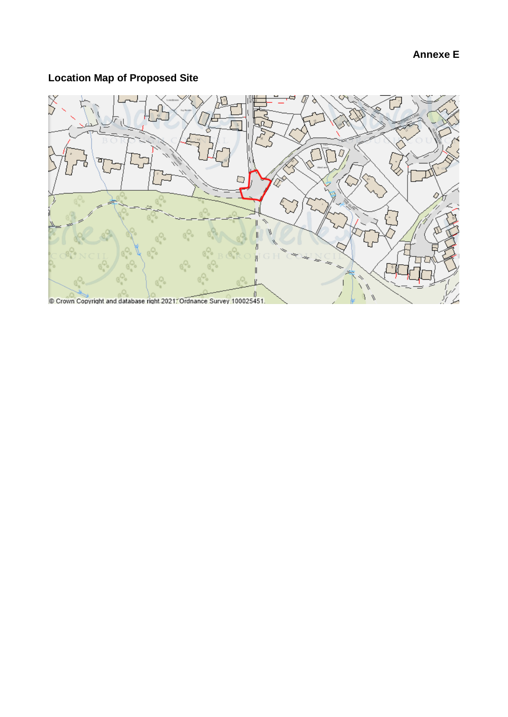# **Annexe E**

## **Locat ion Map of Proposed Site**

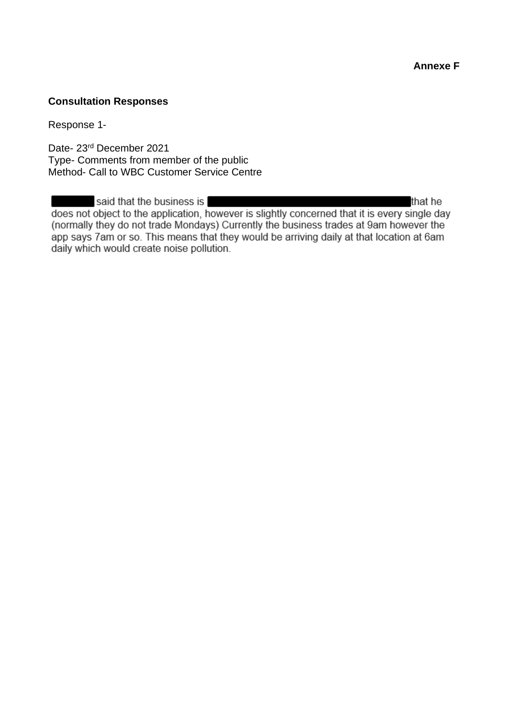**Annexe F**

## **Consultation Responses**

Response 1-

Date- 23rd December 2021 Type- Comments from member of the public Method- Call to WBC Customer Service Centre

said that the business is that he does not object to the application, however is slightly concerned that it is every single day (normally they do not trade Mondays) Currently the business trades at 9am however the app says 7am or so. This means that they would be arriving daily at that location at 6am daily which would create noise pollution.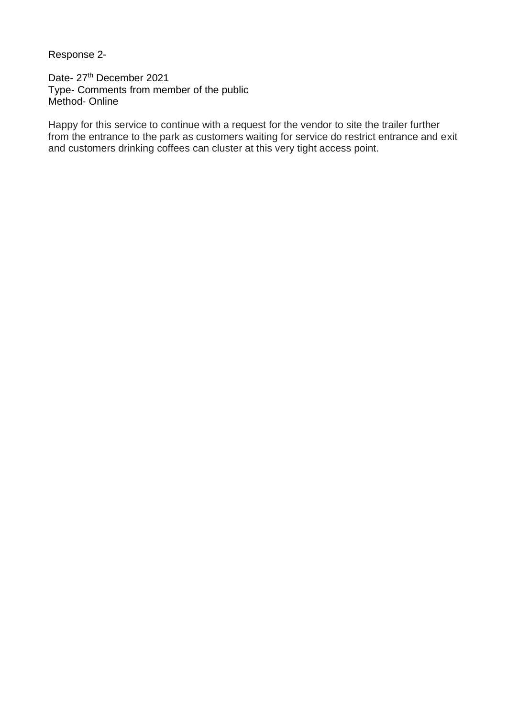Response 2-

Date- 27<sup>th</sup> December 2021 Type- Comments from member of the public Method- Online

Happy for this service to continue with a request for the vendor to site the trailer further from the entrance to the park as customers waiting for service do restrict entrance and exit and customers drinking coffees can cluster at this very tight access point.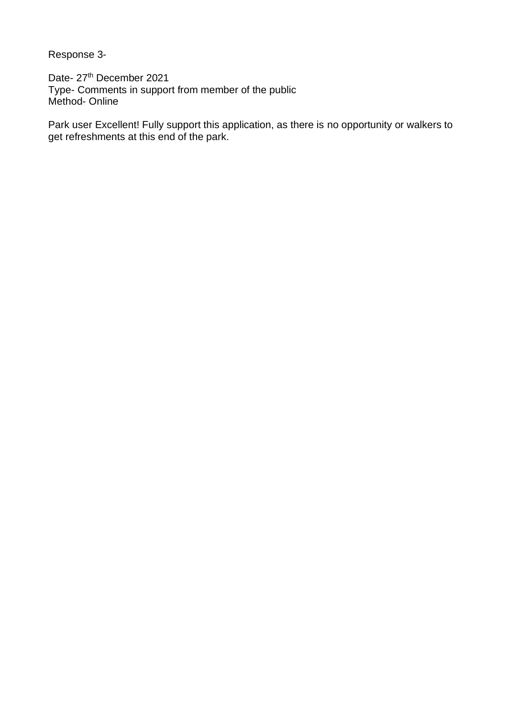Response 3-

Date- 27<sup>th</sup> December 2021 Type- Comments in support from member of the public Method- Online

Park user Excellent! Fully support this application, as there is no opportunity or walkers to get refreshments at this end of the park.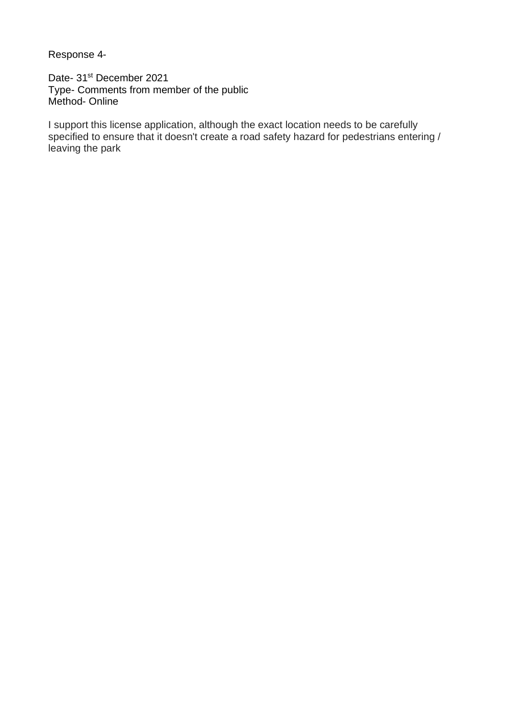Response 4-

Date- 31<sup>st</sup> December 2021 Type- Comments from member of the public Method- Online

I support this license application, although the exact location needs to be carefully specified to ensure that it doesn't create a road safety hazard for pedestrians entering / leaving the park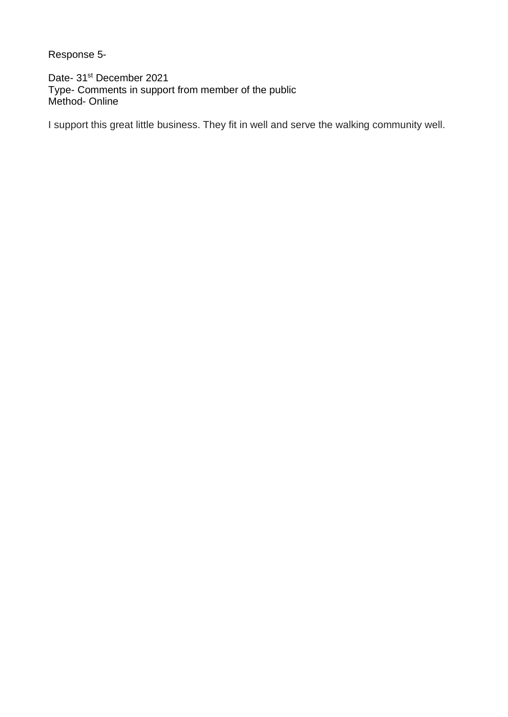Response 5-

Date- 31<sup>st</sup> December 2021 Type- Comments in support from member of the public Method- Online

I support this great little business. They fit in well and serve the walking community well.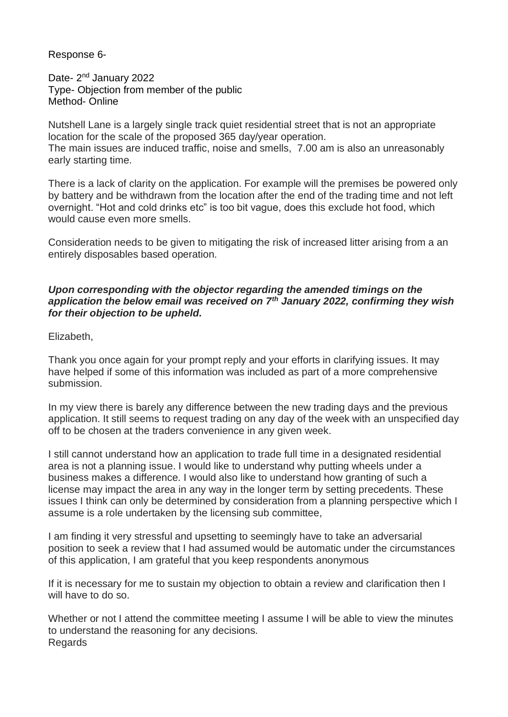Response 6-

Date- 2<sup>nd</sup> January 2022 Type- Objection from member of the public Method- Online

Nutshell Lane is a largely single track quiet residential street that is not an appropriate location for the scale of the proposed 365 day/year operation. The main issues are induced traffic, noise and smells, 7.00 am is also an unreasonably early starting time.

There is a lack of clarity on the application. For example will the premises be powered only by battery and be withdrawn from the location after the end of the trading time and not left overnight. "Hot and cold drinks etc" is too bit vague, does this exclude hot food, which would cause even more smells.

Consideration needs to be given to mitigating the risk of increased litter arising from a an entirely disposables based operation.

#### *Upon corresponding with the objector regarding the amended timings on the application the below email was received on 7th January 2022, confirming they wish for their objection to be upheld.*

Elizabeth,

Thank you once again for your prompt reply and your efforts in clarifying issues. It may have helped if some of this information was included as part of a more comprehensive submission.

In my view there is barely any difference between the new trading days and the previous application. It still seems to request trading on any day of the week with an unspecified day off to be chosen at the traders convenience in any given week.

I still cannot understand how an application to trade full time in a designated residential area is not a planning issue. I would like to understand why putting wheels under a business makes a difference. I would also like to understand how granting of such a license may impact the area in any way in the longer term by setting precedents. These issues I think can only be determined by consideration from a planning perspective which I assume is a role undertaken by the licensing sub committee,

I am finding it very stressful and upsetting to seemingly have to take an adversarial position to seek a review that I had assumed would be automatic under the circumstances of this application, I am grateful that you keep respondents anonymous

If it is necessary for me to sustain my objection to obtain a review and clarification then I will have to do so.

Whether or not I attend the committee meeting I assume I will be able to view the minutes to understand the reasoning for any decisions. Regards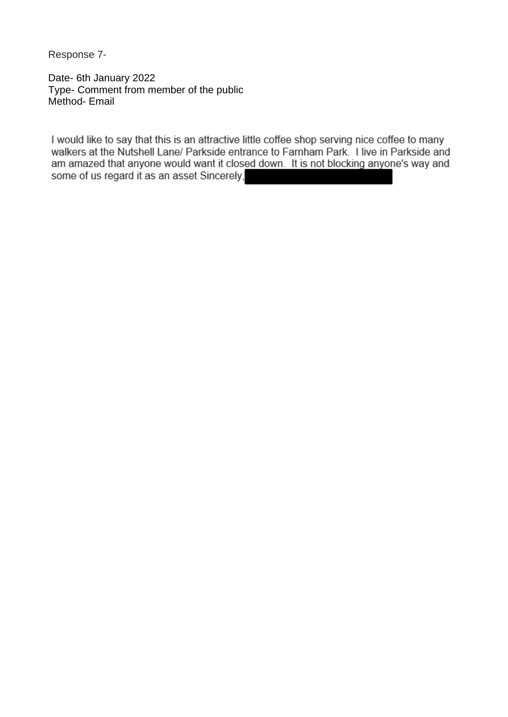Response 7-

Date- 6th January 2022 Type- Comment from member of the public Method- Email

I would like to say that this is an attractive little coffee shop serving nice coffee to many walkers at the Nutshell Lane/ Parkside entrance to Farnham Park. I live in Parkside and am amazed that anyone would want it closed down. It is not blocking anyone's way and some of us regard it as an asset Sincerely,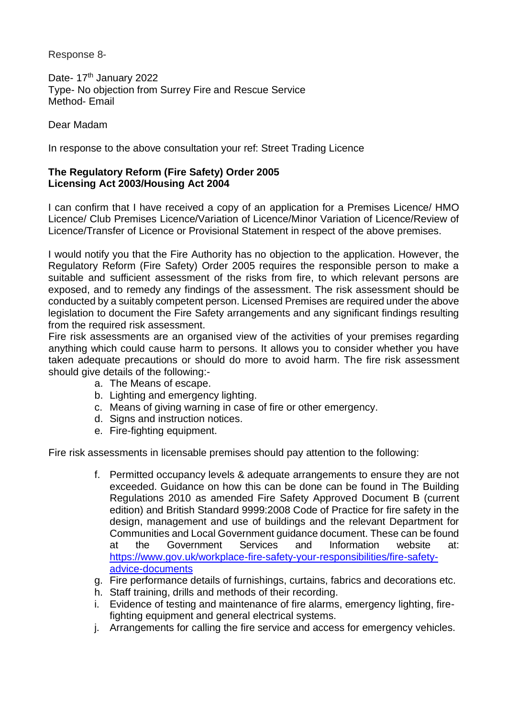Response 8-

Date- 17<sup>th</sup> January 2022 Type- No objection from Surrey Fire and Rescue Service Method- Email

Dear Madam

In response to the above consultation your ref: Street Trading Licence

### **The Regulatory Reform (Fire Safety) Order 2005 Licensing Act 2003/Housing Act 2004**

I can confirm that I have received a copy of an application for a Premises Licence/ HMO Licence/ Club Premises Licence/Variation of Licence/Minor Variation of Licence/Review of Licence/Transfer of Licence or Provisional Statement in respect of the above premises.

I would notify you that the Fire Authority has no objection to the application. However, the Regulatory Reform (Fire Safety) Order 2005 requires the responsible person to make a suitable and sufficient assessment of the risks from fire, to which relevant persons are exposed, and to remedy any findings of the assessment. The risk assessment should be conducted by a suitably competent person. Licensed Premises are required under the above legislation to document the Fire Safety arrangements and any significant findings resulting from the required risk assessment.

Fire risk assessments are an organised view of the activities of your premises regarding anything which could cause harm to persons. It allows you to consider whether you have taken adequate precautions or should do more to avoid harm. The fire risk assessment should give details of the following:-

- a. The Means of escape.
- b. Lighting and emergency lighting.
- c. Means of giving warning in case of fire or other emergency.
- d. Signs and instruction notices.
- e. Fire-fighting equipment.

Fire risk assessments in licensable premises should pay attention to the following:

- f. Permitted occupancy levels & adequate arrangements to ensure they are not exceeded. Guidance on how this can be done can be found in The Building Regulations 2010 as amended Fire Safety Approved Document B (current edition) and British Standard 9999:2008 Code of Practice for fire safety in the design, management and use of buildings and the relevant Department for Communities and Local Government guidance document. These can be found at the Government Services and Information website at: [https://www.gov.uk/workplace-fire-safety-your-responsibilities/fire-safety](https://protect-eu.mimecast.com/s/_Pl5Cqjv2sRrKVUZ7qkE?domain=gov.uk)[advice-documents](https://protect-eu.mimecast.com/s/_Pl5Cqjv2sRrKVUZ7qkE?domain=gov.uk)
- g. Fire performance details of furnishings, curtains, fabrics and decorations etc.
- h. Staff training, drills and methods of their recording.
- i. Evidence of testing and maintenance of fire alarms, emergency lighting, firefighting equipment and general electrical systems.
- j. Arrangements for calling the fire service and access for emergency vehicles.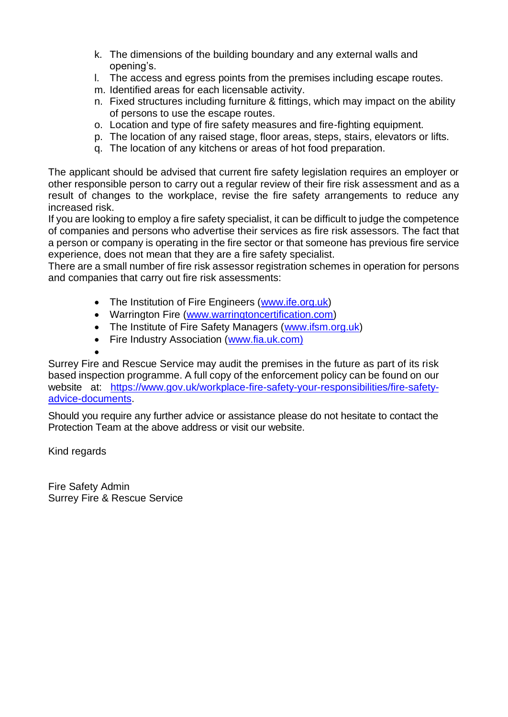- k. The dimensions of the building boundary and any external walls and opening's.
- l. The access and egress points from the premises including escape routes.
- m. Identified areas for each licensable activity.
- n. Fixed structures including furniture & fittings, which may impact on the ability of persons to use the escape routes.
- o. Location and type of fire safety measures and fire-fighting equipment.
- p. The location of any raised stage, floor areas, steps, stairs, elevators or lifts.
- q. The location of any kitchens or areas of hot food preparation.

The applicant should be advised that current fire safety legislation requires an employer or other responsible person to carry out a regular review of their fire risk assessment and as a result of changes to the workplace, revise the fire safety arrangements to reduce any increased risk.

If you are looking to employ a fire safety specialist, it can be difficult to judge the competence of companies and persons who advertise their services as fire risk assessors. The fact that a person or company is operating in the fire sector or that someone has previous fire service experience, does not mean that they are a fire safety specialist.

There are a small number of fire risk assessor registration schemes in operation for persons and companies that carry out fire risk assessments:

- The Institution of Fire Engineers [\(www.ife.org.uk\)](https://protect-eu.mimecast.com/s/3o5gCvgAjH4gpRhzuQHE?domain=ife.org.uk/)
- Warrington Fire [\(www.warringtoncertification.com\)](https://protect-eu.mimecast.com/s/pV1aCxGDlCB0nzsRvzNr?domain=warringtoncertification.com/)
- The Institute of Fire Safety Managers [\(www.ifsm.org.uk\)](https://protect-eu.mimecast.com/s/1z1ECzmGnhnBQ7tB84su?domain=ifsm.org.uk)
- Fire Industry Association [\(www.fia.uk.com\)](https://protect-eu.mimecast.com/s/hXgKCBg5nHAmpyc75Utw?domain=fia.uk.com)

•

Surrey Fire and Rescue Service may audit the premises in the future as part of its risk based inspection programme. A full copy of the enforcement policy can be found on our website at: [https://www.gov.uk/workplace-fire-safety-your-responsibilities/fire-safety](https://protect-eu.mimecast.com/s/_Pl5Cqjv2sRrKVUZ7qkE?domain=gov.uk)[advice-documents.](https://protect-eu.mimecast.com/s/_Pl5Cqjv2sRrKVUZ7qkE?domain=gov.uk)

Should you require any further advice or assistance please do not hesitate to contact the Protection Team at the above address or visit our website.

Kind regards

Fire Safety Admin Surrey Fire & Rescue Service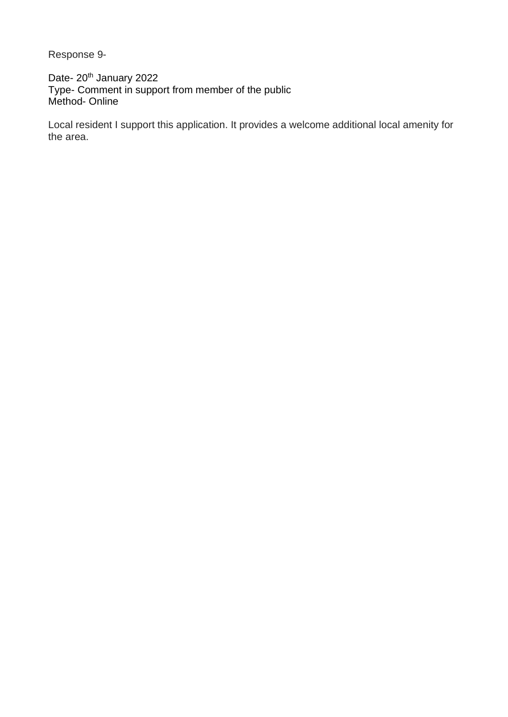Response 9-

Date- 20<sup>th</sup> January 2022 Type- Comment in support from member of the public Method- Online

Local resident I support this application. It provides a welcome additional local amenity for the area.